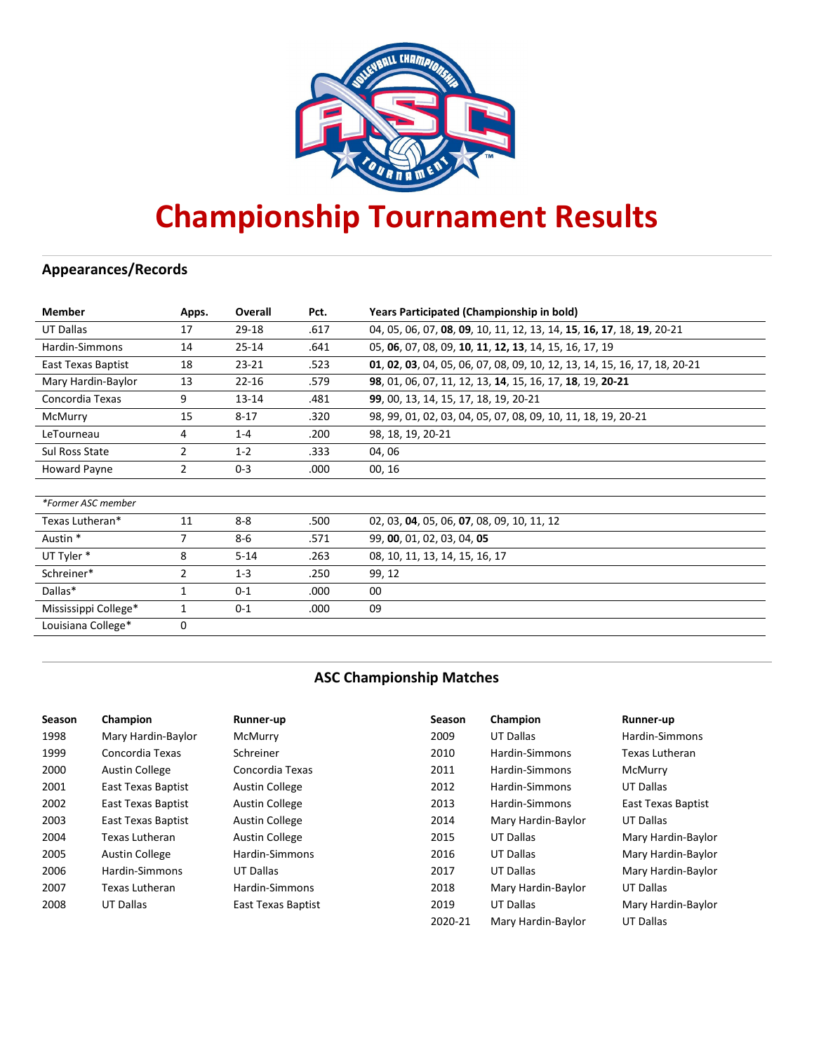

# **Championship Tournament Results**

# **Appearances/Records**

| <b>Member</b>        | Apps.          | Overall   | Pct. | Years Participated (Championship in bold)                                 |
|----------------------|----------------|-----------|------|---------------------------------------------------------------------------|
| <b>UT Dallas</b>     | 17             | 29-18     | .617 | 04, 05, 06, 07, 08, 09, 10, 11, 12, 13, 14, 15, 16, 17, 18, 19, 20-21     |
| Hardin-Simmons       | 14             | $25 - 14$ | .641 | 05, 06, 07, 08, 09, 10, 11, 12, 13, 14, 15, 16, 17, 19                    |
| East Texas Baptist   | 18             | $23 - 21$ | .523 | 01, 02, 03, 04, 05, 06, 07, 08, 09, 10, 12, 13, 14, 15, 16, 17, 18, 20-21 |
| Mary Hardin-Baylor   | 13             | $22 - 16$ | .579 | 98, 01, 06, 07, 11, 12, 13, 14, 15, 16, 17, 18, 19, 20-21                 |
| Concordia Texas      | 9              | $13 - 14$ | .481 | 99, 00, 13, 14, 15, 17, 18, 19, 20-21                                     |
| McMurry              | 15             | $8 - 17$  | .320 | 98, 99, 01, 02, 03, 04, 05, 07, 08, 09, 10, 11, 18, 19, 20-21             |
| LeTourneau           | 4              | $1 - 4$   | .200 | 98, 18, 19, 20-21                                                         |
| Sul Ross State       | $\overline{2}$ | $1 - 2$   | .333 | 04,06                                                                     |
| Howard Payne         | $\overline{2}$ | $0 - 3$   | .000 | 00, 16                                                                    |
|                      |                |           |      |                                                                           |
| *Former ASC member   |                |           |      |                                                                           |
| Texas Lutheran*      | 11             | $8 - 8$   | .500 | 02, 03, 04, 05, 06, 07, 08, 09, 10, 11, 12                                |
| Austin *             | 7              | $8 - 6$   | .571 | 99, 00, 01, 02, 03, 04, 05                                                |
| UT Tyler *           | 8              | $5 - 14$  | .263 | 08, 10, 11, 13, 14, 15, 16, 17                                            |
| Schreiner*           | $\overline{2}$ | $1 - 3$   | .250 | 99, 12                                                                    |
| Dallas*              | $\mathbf{1}$   | $0 - 1$   | .000 | 00                                                                        |
| Mississippi College* | 1              | $0 - 1$   | .000 | 09                                                                        |
| Louisiana College*   | 0              |           |      |                                                                           |

# **ASC Championship Matches**

| <b>Season</b> | Champion              | Runner-up             | <b>Season</b> | Champion           | Runner-up          |
|---------------|-----------------------|-----------------------|---------------|--------------------|--------------------|
| 1998          | Mary Hardin-Baylor    | McMurry               | 2009          | UT Dallas          | Hardin-Simmons     |
| 1999          | Concordia Texas       | Schreiner             | 2010          | Hardin-Simmons     | Texas Lutheran     |
| 2000          | <b>Austin College</b> | Concordia Texas       | 2011          | Hardin-Simmons     | McMurry            |
| 2001          | East Texas Baptist    | <b>Austin College</b> | 2012          | Hardin-Simmons     | UT Dallas          |
| 2002          | East Texas Baptist    | <b>Austin College</b> | 2013          | Hardin-Simmons     | East Texas Baptist |
| 2003          | East Texas Baptist    | <b>Austin College</b> | 2014          | Mary Hardin-Baylor | UT Dallas          |
| 2004          | Texas Lutheran        | <b>Austin College</b> | 2015          | UT Dallas          | Mary Hardin-Baylor |
| 2005          | <b>Austin College</b> | Hardin-Simmons        | 2016          | UT Dallas          | Mary Hardin-Baylor |
| 2006          | Hardin-Simmons        | UT Dallas             | 2017          | UT Dallas          | Mary Hardin-Baylor |
| 2007          | Texas Lutheran        | Hardin-Simmons        | 2018          | Mary Hardin-Baylor | UT Dallas          |
| 2008          | UT Dallas             | East Texas Baptist    | 2019          | UT Dallas          | Mary Hardin-Baylor |
|               |                       |                       | 2020-21       | Mary Hardin-Baylor | UT Dallas          |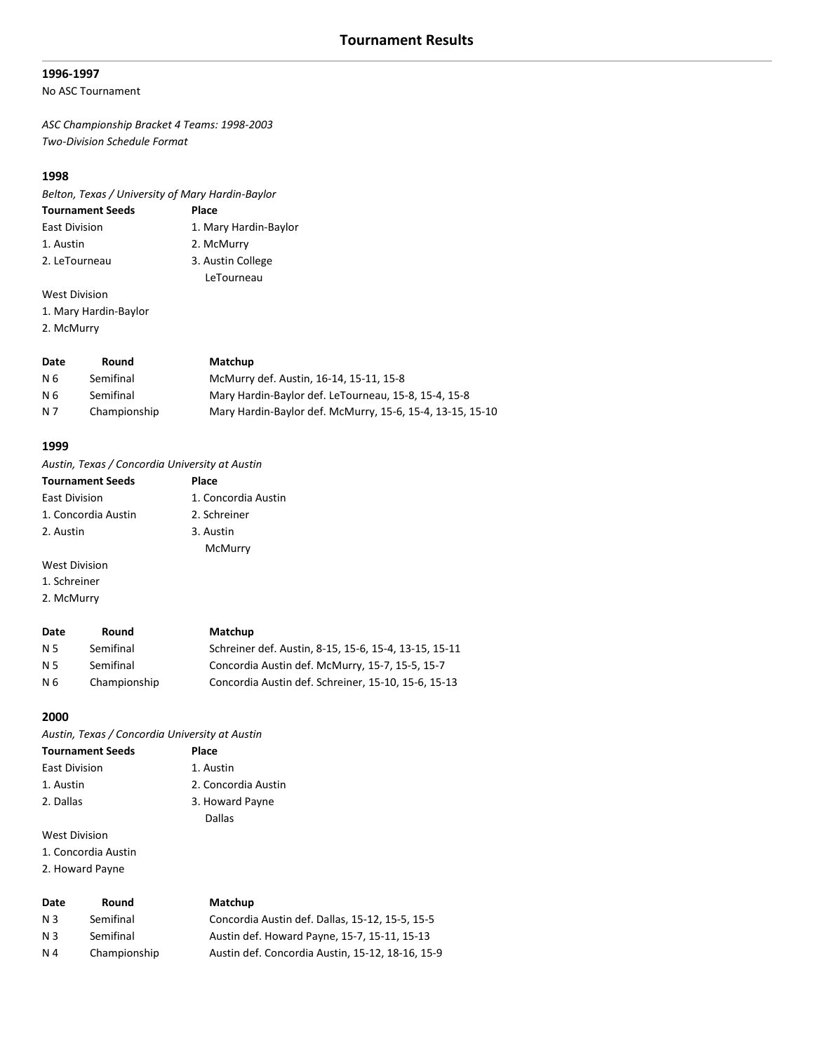#### **1996-1997**

#### No ASC Tournament

*ASC Championship Bracket 4 Teams: 1998-2003 Two-Division Schedule Format*

# **1998**

*Belton, Texas / University of Mary Hardin-Baylor*

| <b>Tournament Seeds</b> | Place                 |
|-------------------------|-----------------------|
| <b>East Division</b>    | 1. Mary Hardin-Baylor |
| 1. Austin               | 2. McMurry            |
| 2. LeTourneau           | 3. Austin College     |
|                         | LeTourneau            |
| <b>West Division</b>    |                       |

- 1. Mary Hardin-Baylor
- 2. McMurry

| Date      | Round        | Matchup                                                   |
|-----------|--------------|-----------------------------------------------------------|
| - N 6     | Semifinal    | McMurry def. Austin, 16-14, 15-11, 15-8                   |
| <b>N6</b> | Semifinal    | Mary Hardin-Baylor def. LeTourneau, 15-8, 15-4, 15-8      |
| N 7       | Championship | Mary Hardin-Baylor def. McMurry, 15-6, 15-4, 13-15, 15-10 |

#### **1999**

*Austin, Texas / Concordia University at Austin*

| <b>Tournament Seeds</b> | <b>Place</b>        |
|-------------------------|---------------------|
| <b>East Division</b>    | 1. Concordia Austin |
| 1. Concordia Austin     | 2. Schreiner        |
| 2. Austin               | 3. Austin           |
|                         | McMurry             |
| West Division           |                     |

- 1. Schreiner
- 2. McMurry

#### **Date Round Matchup**

| N 5 | Semifinal    | Schreiner def. Austin, 8-15, 15-6, 15-4, 13-15, 15-11 |
|-----|--------------|-------------------------------------------------------|
| N 5 | Semifinal    | Concordia Austin def. McMurry, 15-7, 15-5, 15-7       |
| N 6 | Championship | Concordia Austin def. Schreiner, 15-10, 15-6, 15-13   |

#### **2000**

*Austin, Texas / Concordia University at Austin*

| <b>Tournament Seeds</b> | Place               |
|-------------------------|---------------------|
| <b>East Division</b>    | 1. Austin           |
| 1. Austin               | 2. Concordia Austin |
| 2. Dallas               | 3. Howard Payne     |
|                         | Dallas              |
| <b>West Division</b>    |                     |

1. Concordia Austin

2. Howard Payne

| Date           | Round        | Matchup                                          |
|----------------|--------------|--------------------------------------------------|
| N 3            | Semifinal    | Concordia Austin def. Dallas, 15-12, 15-5, 15-5  |
| N <sub>3</sub> | Semifinal    | Austin def. Howard Payne, 15-7, 15-11, 15-13     |
| N 4            | Championship | Austin def. Concordia Austin, 15-12, 18-16, 15-9 |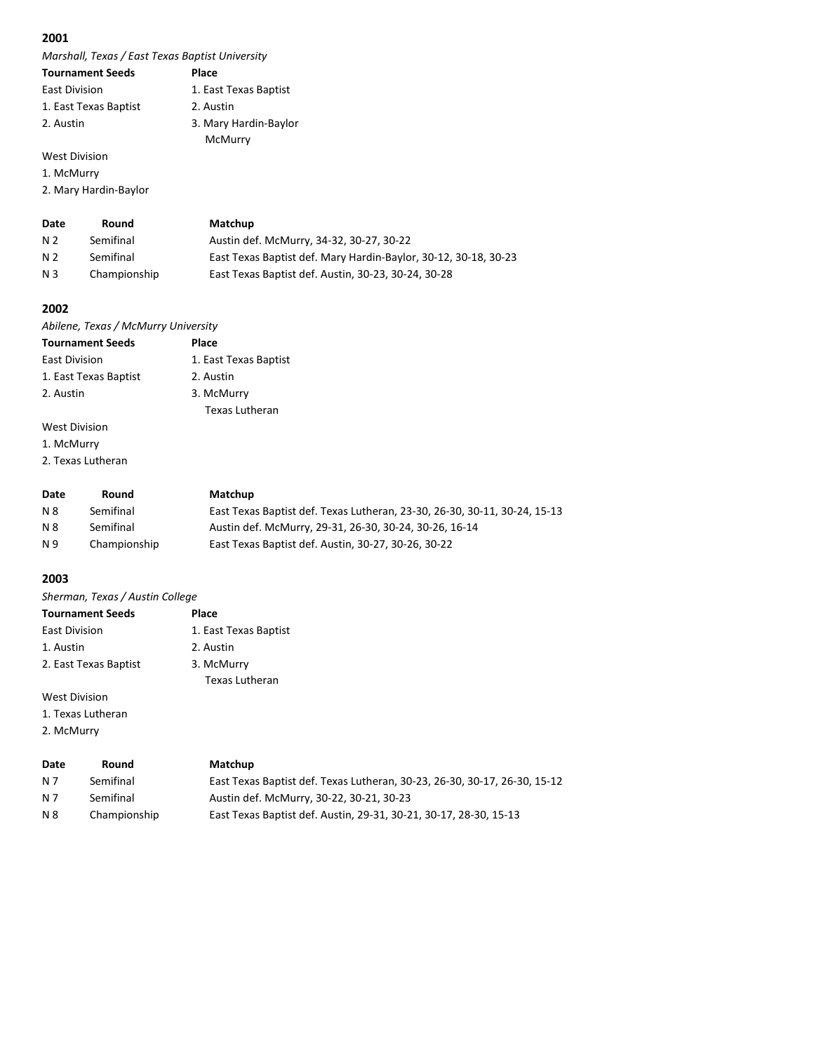*Marshall, Texas / East Texas Baptist University*

| <b>Tournament Seeds</b> | Place                 |
|-------------------------|-----------------------|
| <b>East Division</b>    | 1. East Texas Baptist |
| 1. East Texas Baptist   | 2. Austin             |
| 2. Austin               | 3. Mary Hardin-Baylor |
|                         | McMurry               |
| <b>West Division</b>    |                       |

1. McMurry

2. Mary Hardin-Baylor

| Date           | Round        | Matchup                                                         |
|----------------|--------------|-----------------------------------------------------------------|
| N 2            | Semifinal    | Austin def. McMurry, 34-32, 30-27, 30-22                        |
| N 2            | Semifinal    | East Texas Baptist def. Mary Hardin-Baylor, 30-12, 30-18, 30-23 |
| N <sub>3</sub> | Championship | East Texas Baptist def. Austin, 30-23, 30-24, 30-28             |

Texas Lutheran

#### **2002**

*Abilene, Texas / McMurry University* **Tournament Seeds Place** East Division 1. East Texas Baptist 1. East Texas Baptist 2. Austin

2. Austin 3. McMurry

# West Division

1. McMurry

2. Texas Lutheran

| Date       | Round        | Matchup                                                                   |
|------------|--------------|---------------------------------------------------------------------------|
| N 8        | Semifinal    | East Texas Baptist def. Texas Lutheran, 23-30, 26-30, 30-11, 30-24, 15-13 |
| <b>N 8</b> | Semifinal    | Austin def. McMurry, 29-31, 26-30, 30-24, 30-26, 16-14                    |
| N 9        | Championship | East Texas Baptist def. Austin, 30-27, 30-26, 30-22                       |

# **2003**

| Sherman, Texas / Austin College |                       |  |
|---------------------------------|-----------------------|--|
| <b>Tournament Seeds</b>         | Place                 |  |
| <b>East Division</b>            | 1. East Texas Baptist |  |
| 1. Austin                       | 2. Austin             |  |
| 2. East Texas Baptist           | 3. McMurry            |  |
|                                 | <b>Texas Lutheran</b> |  |
| West Division                   |                       |  |

West Division

1. Texas Lutheran

2. McMurry

| Date | Round        | <b>Matchup</b>                                                            |
|------|--------------|---------------------------------------------------------------------------|
| N 7  | Semifinal    | East Texas Baptist def. Texas Lutheran, 30-23, 26-30, 30-17, 26-30, 15-12 |
| N 7  | Semifinal    | Austin def. McMurry, 30-22, 30-21, 30-23                                  |
| N 8  | Championship | East Texas Baptist def. Austin, 29-31, 30-21, 30-17, 28-30, 15-13         |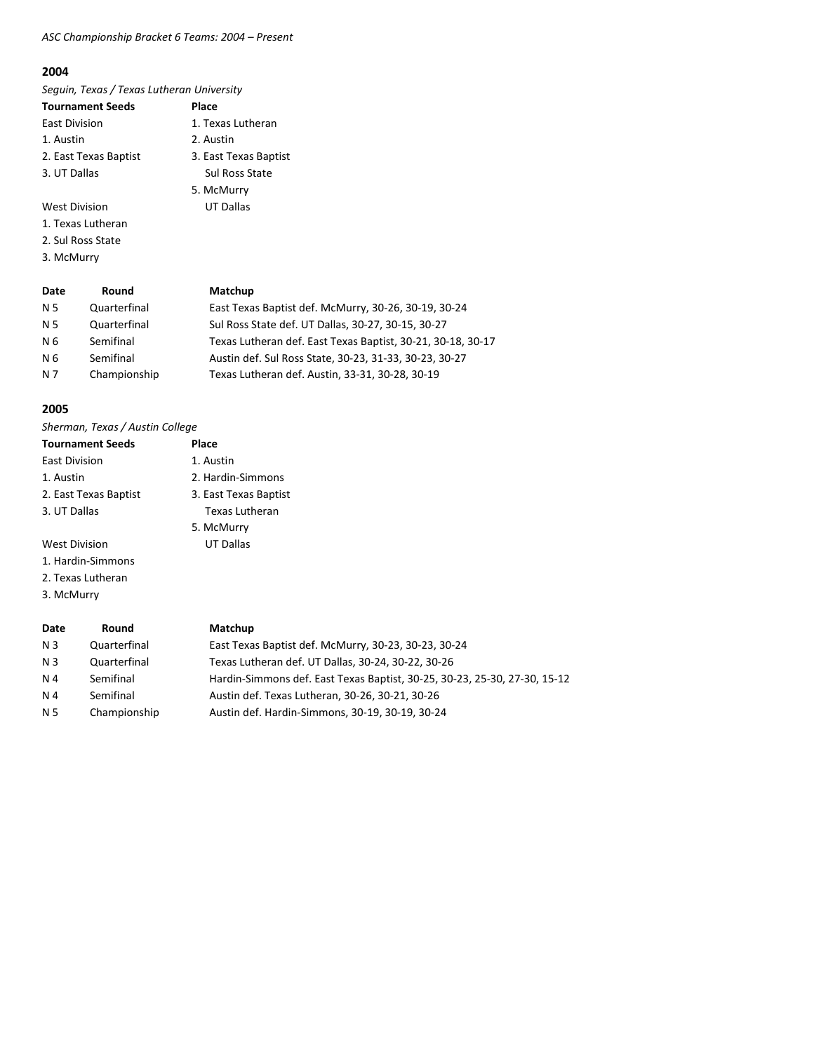# *ASC Championship Bracket 6 Teams: 2004 – Present*

#### **2004**

*Seguin, Texas / Texas Lutheran University*

| <b>Tournament Seeds</b> | Place                 |
|-------------------------|-----------------------|
| <b>East Division</b>    | 1. Texas Lutheran     |
| 1. Austin               | 2. Austin             |
| 2. East Texas Baptist   | 3. East Texas Baptist |
| 3. UT Dallas            | <b>Sul Ross State</b> |
|                         | 5. McMurry            |

West Division **UT Dallas** 1. Texas Lutheran

- 2. Sul Ross State
- 3. McMurry

**Date Round Matchup**

| N 5 | Quarterfinal | East Texas Baptist def. McMurry, 30-26, 30-19, 30-24        |
|-----|--------------|-------------------------------------------------------------|
| N 5 | Quarterfinal | Sul Ross State def. UT Dallas, 30-27, 30-15, 30-27          |
| N 6 | Semifinal    | Texas Lutheran def. East Texas Baptist, 30-21, 30-18, 30-17 |
| N 6 | Semifinal    | Austin def. Sul Ross State, 30-23, 31-33, 30-23, 30-27      |
| N 7 | Championship | Texas Lutheran def. Austin, 33-31, 30-28, 30-19             |
|     |              |                                                             |

#### **2005**

| <b>Tournament Seeds</b> | Place                 |
|-------------------------|-----------------------|
| <b>East Division</b>    | 1. Austin             |
| 1. Austin               | 2. Hardin-Simmons     |
| 2. East Texas Baptist   | 3. East Texas Baptist |
| 3. UT Dallas            | Texas Lutheran        |
|                         | 5. McMurry            |
| <b>West Division</b>    | <b>UT Dallas</b>      |
| 1. Hardin-Simmons       |                       |
| 2. Texas Lutheran       |                       |
| 3. McMurry              |                       |

| Date | Round        | Matchup                                                                   |
|------|--------------|---------------------------------------------------------------------------|
| N 3  | Quarterfinal | East Texas Baptist def. McMurry, 30-23, 30-23, 30-24                      |
| N 3  | Quarterfinal | Texas Lutheran def. UT Dallas, 30-24, 30-22, 30-26                        |
| N 4  | Semifinal    | Hardin-Simmons def. East Texas Baptist, 30-25, 30-23, 25-30, 27-30, 15-12 |
| N 4  | Semifinal    | Austin def. Texas Lutheran, 30-26, 30-21, 30-26                           |
| N 5  | Championship | Austin def. Hardin-Simmons, 30-19, 30-19, 30-24                           |
|      |              |                                                                           |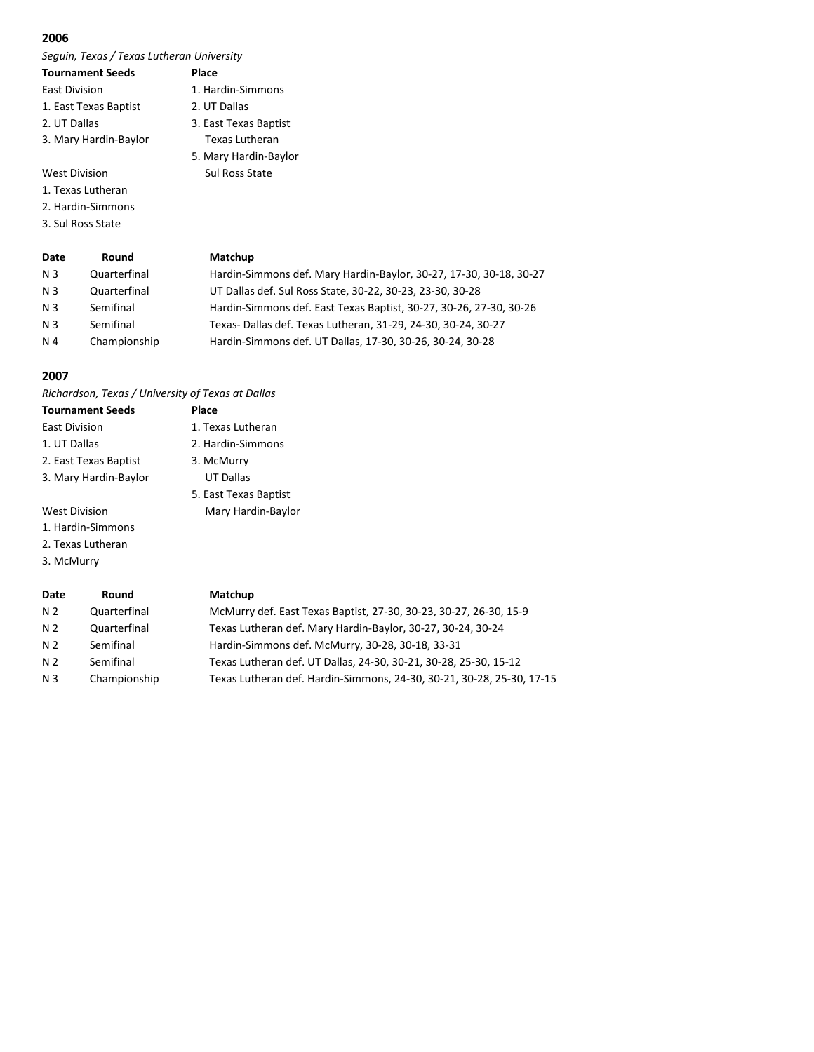*Seguin, Texas / Texas Lutheran University*

| <b>Tournament Seeds</b> | Place                 |
|-------------------------|-----------------------|
| <b>East Division</b>    | 1. Hardin-Simmons     |
| 1. East Texas Baptist   | 2. UT Dallas          |
| 2. UT Dallas            | 3. East Texas Baptist |
| 3. Mary Hardin-Baylor   | <b>Texas Lutheran</b> |
|                         | 5. Mary Hardin-Baylor |

West Division Sul Ross State

1. Texas Lutheran

- 2. Hardin-Simmons
- 3. Sul Ross State

| Date           | Round        | Matchup                                                            |
|----------------|--------------|--------------------------------------------------------------------|
| N <sub>3</sub> | Quarterfinal | Hardin-Simmons def. Mary Hardin-Baylor, 30-27, 17-30, 30-18, 30-27 |
| N 3            | Quarterfinal | UT Dallas def. Sul Ross State, 30-22, 30-23, 23-30, 30-28          |
| N <sub>3</sub> | Semifinal    | Hardin-Simmons def. East Texas Baptist, 30-27, 30-26, 27-30, 30-26 |
| N <sub>3</sub> | Semifinal    | Texas-Dallas def. Texas Lutheran, 31-29, 24-30, 30-24, 30-27       |
| N 4            | Championship | Hardin-Simmons def. UT Dallas, 17-30, 30-26, 30-24, 30-28          |

# **2007**

*Richardson, Texas / University of Texas at Dallas*

| <b>Tournament Seeds</b> | Place                 |
|-------------------------|-----------------------|
| <b>East Division</b>    | 1. Texas Lutheran     |
| 1. UT Dallas            | 2. Hardin-Simmons     |
| 2. East Texas Baptist   | 3. McMurry            |
| 3. Mary Hardin-Baylor   | <b>UT Dallas</b>      |
|                         | 5. East Texas Baptist |
| <b>West Division</b>    | Mary Hardin-Baylor    |
| 1. Hardin-Simmons       |                       |
|                         |                       |

- 2. Texas Lutheran
- 3. McMurry

| Date           | Round        | Matchup                                                               |
|----------------|--------------|-----------------------------------------------------------------------|
| N <sub>2</sub> | Quarterfinal | McMurry def. East Texas Baptist, 27-30, 30-23, 30-27, 26-30, 15-9     |
| N <sub>2</sub> | Quarterfinal | Texas Lutheran def. Mary Hardin-Baylor, 30-27, 30-24, 30-24           |
| N <sub>2</sub> | Semifinal    | Hardin-Simmons def. McMurry, 30-28, 30-18, 33-31                      |
| N <sub>2</sub> | Semifinal    | Texas Lutheran def. UT Dallas, 24-30, 30-21, 30-28, 25-30, 15-12      |
| N <sub>3</sub> | Championship | Texas Lutheran def. Hardin-Simmons, 24-30, 30-21, 30-28, 25-30, 17-15 |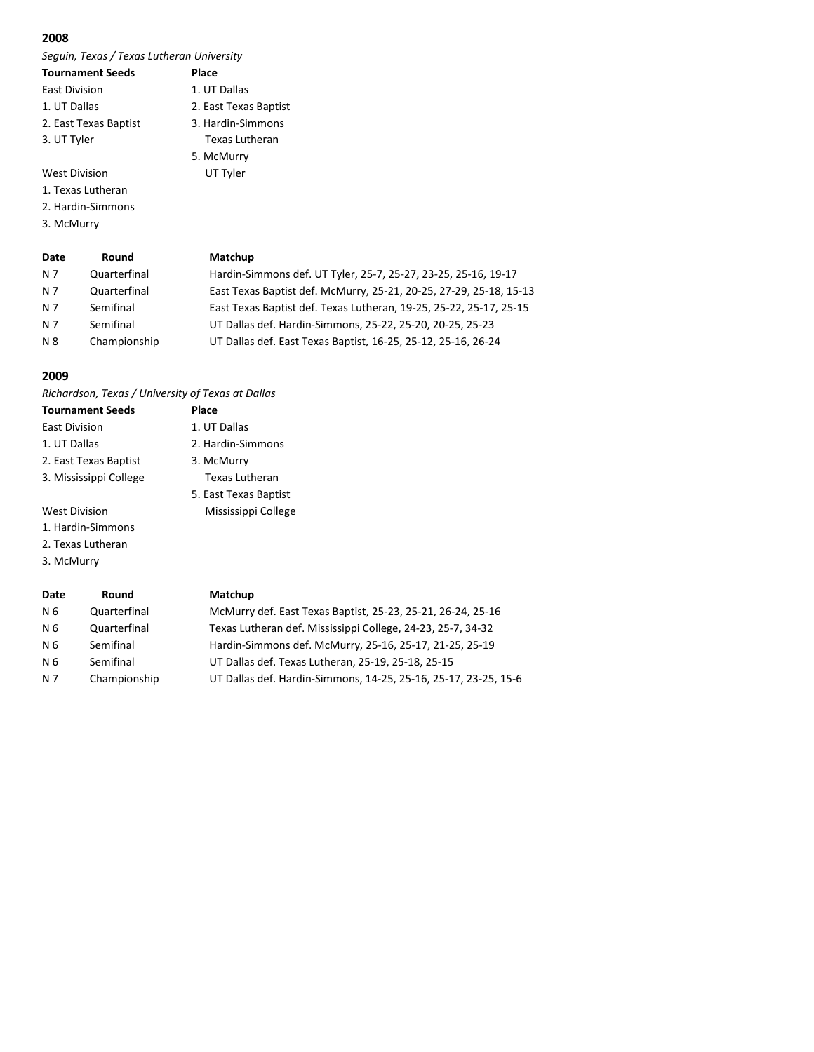*Seguin, Texas / Texas Lutheran University*

| <b>Tournament Seeds</b> | Place                 |
|-------------------------|-----------------------|
| <b>East Division</b>    | 1. UT Dallas          |
| 1. UT Dallas            | 2. East Texas Baptist |
| 2. East Texas Baptist   | 3. Hardin-Simmons     |
| 3. UT Tyler             | Texas Lutheran        |
|                         | 5. McMurry            |
| <b>West Division</b>    | UT Tyler              |

1. Texas Lutheran

2. Hardin-Simmons

3. McMurry

| Date | Round        | Matchup                                                            |
|------|--------------|--------------------------------------------------------------------|
| N 7  | Quarterfinal | Hardin-Simmons def. UT Tyler, 25-7, 25-27, 23-25, 25-16, 19-17     |
| N 7  | Quarterfinal | East Texas Baptist def. McMurry, 25-21, 20-25, 27-29, 25-18, 15-13 |
| N 7  | Semifinal    | East Texas Baptist def. Texas Lutheran, 19-25, 25-22, 25-17, 25-15 |
| N 7  | Semifinal    | UT Dallas def. Hardin-Simmons, 25-22, 25-20, 20-25, 25-23          |
| N 8  | Championship | UT Dallas def. East Texas Baptist, 16-25, 25-12, 25-16, 26-24      |

#### **2009**

*Richardson, Texas / University of Texas at Dallas*

| <b>Tournament Seeds</b> | Place                 |
|-------------------------|-----------------------|
| East Division           | 1. UT Dallas          |
| 1. UT Dallas            | 2. Hardin-Simmons     |
| 2. East Texas Baptist   | 3. McMurry            |
| 3. Mississippi College  | Texas Lutheran        |
|                         | 5. East Texas Baptist |
| West Division           | Mississippi College   |
| 1. Hardin-Simmons       |                       |
| 2. Texas Lutheran       |                       |

3. McMurry

| Date | Round        | Matchup                                                         |
|------|--------------|-----------------------------------------------------------------|
| N 6  | Quarterfinal | McMurry def. East Texas Baptist, 25-23, 25-21, 26-24, 25-16     |
| N 6  | Quarterfinal | Texas Lutheran def. Mississippi College, 24-23, 25-7, 34-32     |
| N 6  | Semifinal    | Hardin-Simmons def. McMurry, 25-16, 25-17, 21-25, 25-19         |
| N 6  | Semifinal    | UT Dallas def. Texas Lutheran, 25-19, 25-18, 25-15              |
| N 7  | Championship | UT Dallas def. Hardin-Simmons, 14-25, 25-16, 25-17, 23-25, 15-6 |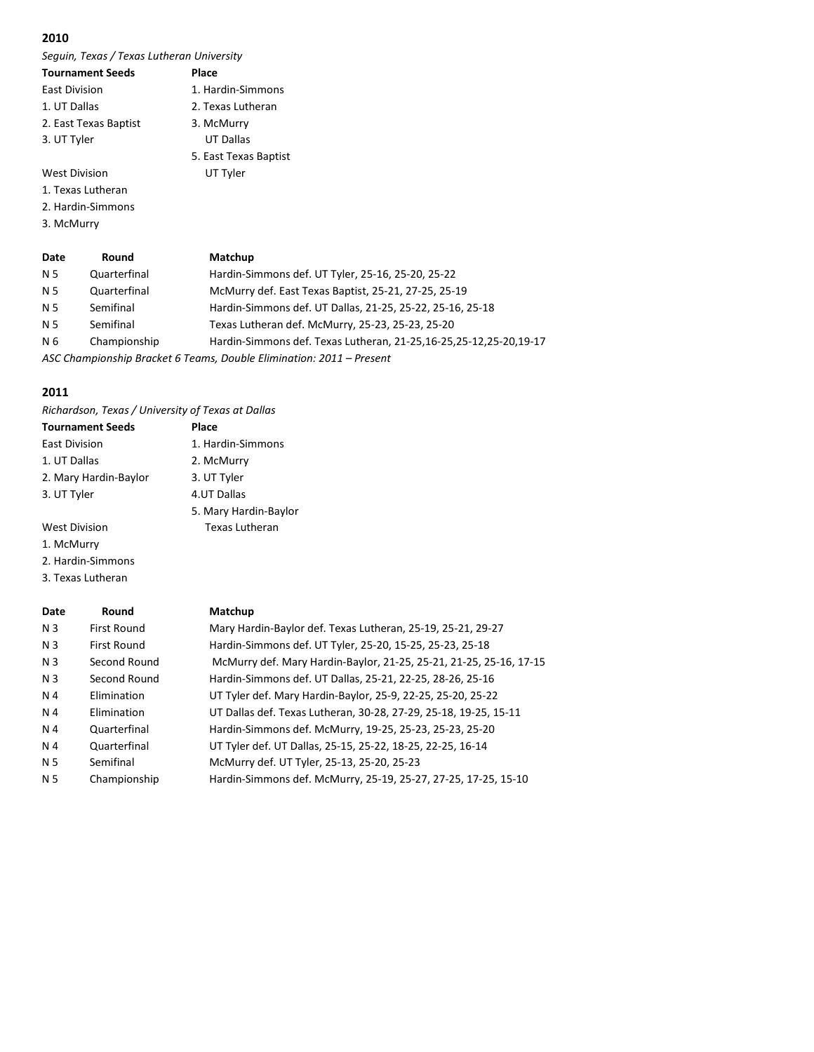*Seguin, Texas / Texas Lutheran University*

| <b>Tournament Seeds</b> | Place                 |
|-------------------------|-----------------------|
| East Division           | 1. Hardin-Simmons     |
| 1. UT Dallas            | 2. Texas Lutheran     |
| 2. East Texas Baptist   | 3. McMurry            |
| 3. UT Tyler             | <b>UT Dallas</b>      |
|                         | 5. East Texas Baptist |
| <b>West Division</b>    | UT Tyler              |
| 1. Texas Lutheran       |                       |
| 2. Hardin-Simmons       |                       |

3. McMurry

| Date | Round        | Matchup                                                             |
|------|--------------|---------------------------------------------------------------------|
| N 5  | Quarterfinal | Hardin-Simmons def. UT Tyler, 25-16, 25-20, 25-22                   |
| N 5  | Quarterfinal | McMurry def. East Texas Baptist, 25-21, 27-25, 25-19                |
| N 5  | Semifinal    | Hardin-Simmons def. UT Dallas, 21-25, 25-22, 25-16, 25-18           |
| N 5  | Semifinal    | Texas Lutheran def. McMurry, 25-23, 25-23, 25-20                    |
| N 6  | Championship | Hardin-Simmons def. Texas Lutheran, 21-25,16-25,25-12,25-20,19-17   |
|      |              | ACC Championship Brasket C Togmes, Dauble Flimination, 2011 Drosont |

*ASC Championship Bracket 6 Teams, Double Elimination: 2011 – Present*

# **2011**

*Richardson, Texas / University of Texas at Dallas*

| <b>Tournament Seeds</b> | Place                 |
|-------------------------|-----------------------|
| East Division           | 1. Hardin-Simmons     |
| 1. UT Dallas            | 2. McMurry            |
| 2. Mary Hardin-Baylor   | 3. UT Tyler           |
| 3. UT Tyler             | 4.UT Dallas           |
|                         | 5. Mary Hardin-Baylor |
| <b>West Division</b>    | <b>Texas Lutheran</b> |
| 1. McMurry              |                       |
| 2. Hardin-Simmons       |                       |

3. Texas Lutheran

| Date           | Round              | Matchup                                                            |
|----------------|--------------------|--------------------------------------------------------------------|
| N <sub>3</sub> | <b>First Round</b> | Mary Hardin-Baylor def. Texas Lutheran, 25-19, 25-21, 29-27        |
| N <sub>3</sub> | <b>First Round</b> | Hardin-Simmons def. UT Tyler, 25-20, 15-25, 25-23, 25-18           |
| N <sub>3</sub> | Second Round       | McMurry def. Mary Hardin-Baylor, 21-25, 25-21, 21-25, 25-16, 17-15 |
| N <sub>3</sub> | Second Round       | Hardin-Simmons def. UT Dallas, 25-21, 22-25, 28-26, 25-16          |
| N 4            | Elimination        | UT Tyler def. Mary Hardin-Baylor, 25-9, 22-25, 25-20, 25-22        |
| N 4            | Elimination        | UT Dallas def. Texas Lutheran, 30-28, 27-29, 25-18, 19-25, 15-11   |
| N 4            | Quarterfinal       | Hardin-Simmons def. McMurry, 19-25, 25-23, 25-23, 25-20            |
| N 4            | Quarterfinal       | UT Tyler def. UT Dallas, 25-15, 25-22, 18-25, 22-25, 16-14         |
| N 5            | Semifinal          | McMurry def. UT Tyler, 25-13, 25-20, 25-23                         |
| N <sub>5</sub> | Championship       | Hardin-Simmons def. McMurry, 25-19, 25-27, 27-25, 17-25, 15-10     |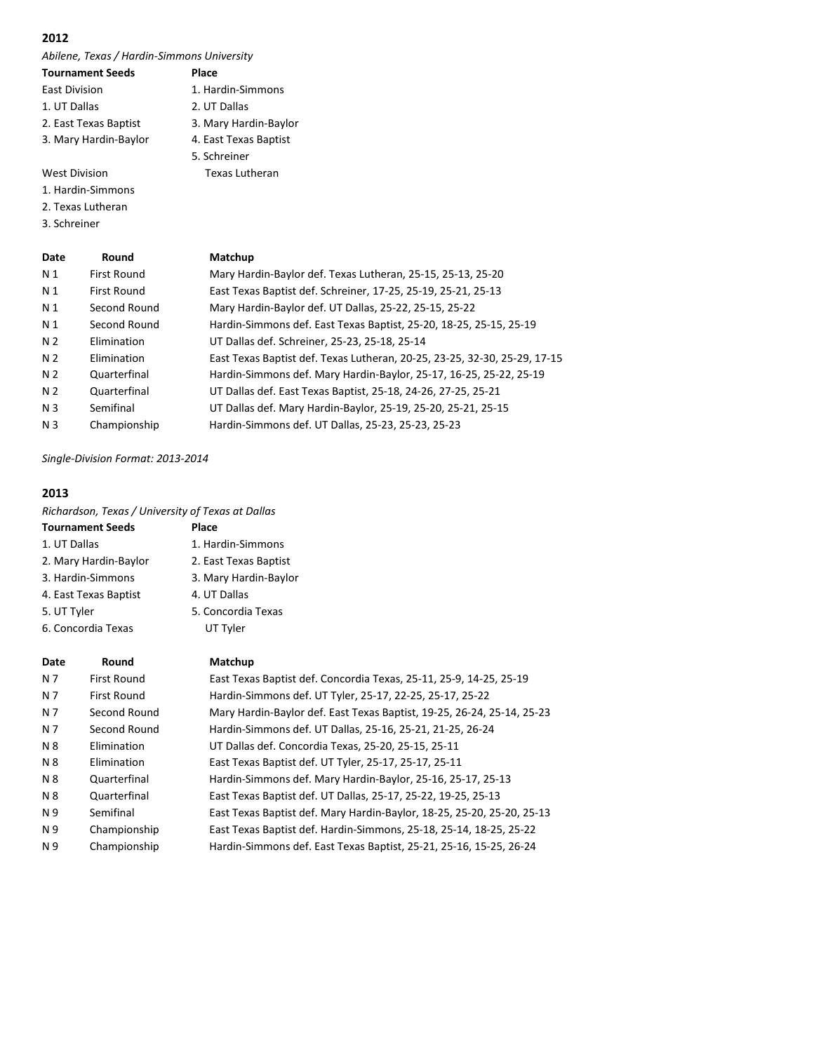*Abilene, Texas / Hardin-Simmons University*

| <b>Tournament Seeds</b> | Place                 |
|-------------------------|-----------------------|
| <b>East Division</b>    | 1. Hardin-Simmons     |
| 1. UT Dallas            | 2. UT Dallas          |
| 2. East Texas Baptist   | 3. Mary Hardin-Baylor |
| 3. Mary Hardin-Baylor   | 4. East Texas Baptist |
|                         | 5. Schreiner          |
| <b>West Division</b>    | Texas Lutheran        |

1. Hardin-Simmons

2. Texas Lutheran

3. Schreiner

| Date           | Round        | Matchup                                                                   |
|----------------|--------------|---------------------------------------------------------------------------|
| N 1            | First Round  | Mary Hardin-Baylor def. Texas Lutheran, 25-15, 25-13, 25-20               |
| N <sub>1</sub> | First Round  | East Texas Baptist def. Schreiner, 17-25, 25-19, 25-21, 25-13             |
| N 1            | Second Round | Mary Hardin-Baylor def. UT Dallas, 25-22, 25-15, 25-22                    |
| N 1            | Second Round | Hardin-Simmons def. East Texas Baptist, 25-20, 18-25, 25-15, 25-19        |
| N <sub>2</sub> | Elimination  | UT Dallas def. Schreiner, 25-23, 25-18, 25-14                             |
| N <sub>2</sub> | Elimination  | East Texas Baptist def. Texas Lutheran, 20-25, 23-25, 32-30, 25-29, 17-15 |
| N <sub>2</sub> | Quarterfinal | Hardin-Simmons def. Mary Hardin-Baylor, 25-17, 16-25, 25-22, 25-19        |
| N <sub>2</sub> | Quarterfinal | UT Dallas def. East Texas Baptist, 25-18, 24-26, 27-25, 25-21             |
| N <sub>3</sub> | Semifinal    | UT Dallas def. Mary Hardin-Baylor, 25-19, 25-20, 25-21, 25-15             |
| N <sub>3</sub> | Championship | Hardin-Simmons def. UT Dallas, 25-23, 25-23, 25-23                        |
|                |              |                                                                           |

*Single-Division Format: 2013-2014*

# **2013**

|                    |                         | Richardson, Texas / University of Texas at Dallas                  |
|--------------------|-------------------------|--------------------------------------------------------------------|
|                    | <b>Tournament Seeds</b> | Place                                                              |
| 1. UT Dallas       |                         | 1. Hardin-Simmons                                                  |
|                    | 2. Mary Hardin-Baylor   | 2. East Texas Baptist                                              |
|                    | 3. Hardin-Simmons       | 3. Mary Hardin-Baylor                                              |
|                    | 4. East Texas Baptist   | 4. UT Dallas                                                       |
| 5. UT Tyler        |                         | 5. Concordia Texas                                                 |
| 6. Concordia Texas |                         | UT Tyler                                                           |
|                    | Round                   |                                                                    |
| Date               |                         | Matchup                                                            |
| N 7                | <b>First Round</b>      | East Texas Baptist def. Concordia Texas, 25-11, 25-9, 14-25, 25-19 |
|                    |                         |                                                                    |

| N 7 | First Round  | Hardin-Simmons def. UT Tyler, 25-17, 22-25, 25-17, 25-22               |
|-----|--------------|------------------------------------------------------------------------|
| N 7 | Second Round | Mary Hardin-Baylor def. East Texas Baptist, 19-25, 26-24, 25-14, 25-23 |
| N 7 | Second Round | Hardin-Simmons def. UT Dallas, 25-16, 25-21, 21-25, 26-24              |
| N 8 | Elimination  | UT Dallas def. Concordia Texas, 25-20, 25-15, 25-11                    |
| N 8 | Elimination  | East Texas Baptist def. UT Tyler, 25-17, 25-17, 25-11                  |
| N 8 | Quarterfinal | Hardin-Simmons def. Mary Hardin-Baylor, 25-16, 25-17, 25-13            |
| N 8 | Quarterfinal | East Texas Baptist def. UT Dallas, 25-17, 25-22, 19-25, 25-13          |
| N 9 | Semifinal    | East Texas Baptist def. Mary Hardin-Baylor, 18-25, 25-20, 25-20, 25-13 |
| N 9 | Championship | East Texas Baptist def. Hardin-Simmons, 25-18, 25-14, 18-25, 25-22     |
| N 9 | Championship | Hardin-Simmons def. East Texas Baptist, 25-21, 25-16, 15-25, 26-24     |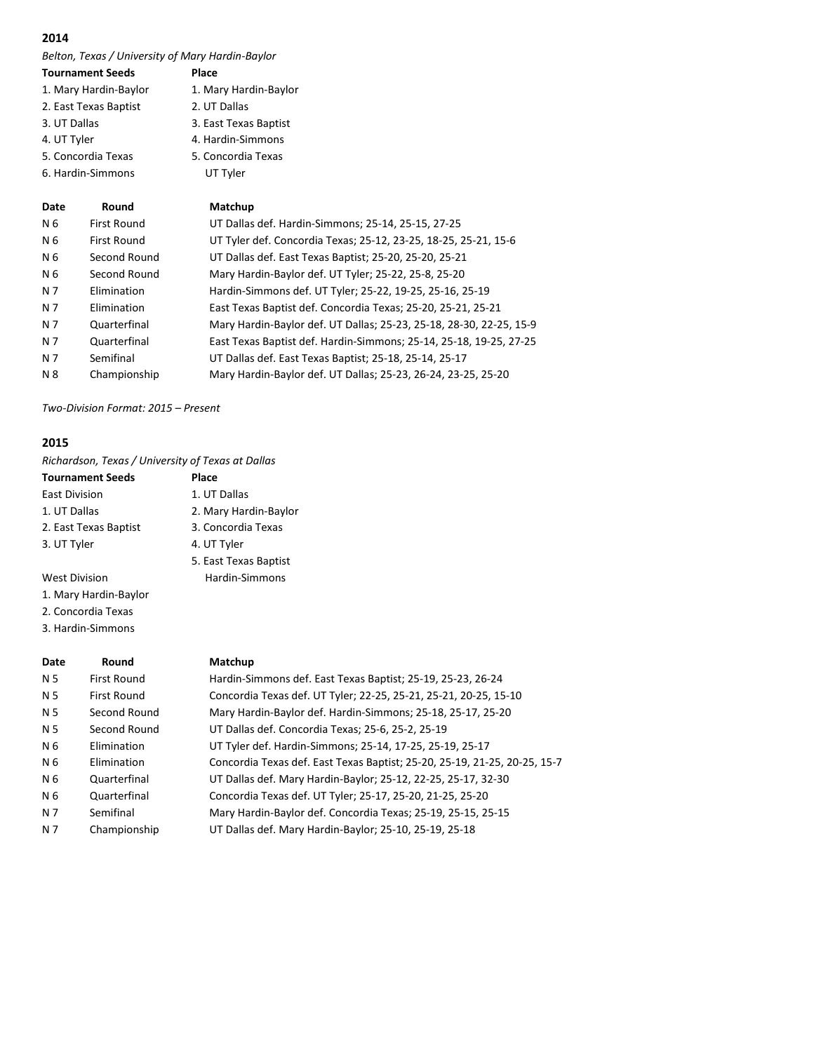*Belton, Texas / University of Mary Hardin-Baylor*

| <b>Tournament Seeds</b> | Place                 |
|-------------------------|-----------------------|
| 1. Mary Hardin-Baylor   | 1. Mary Hardin-Baylor |
| 2. East Texas Baptist   | 2. UT Dallas          |
| 3. UT Dallas            | 3. East Texas Baptist |
| 4. UT Tyler             | 4. Hardin-Simmons     |
| 5. Concordia Texas      | 5. Concordia Texas    |
| 6. Hardin-Simmons       | UT Tyler              |
|                         |                       |

| Date | Round              | Matchup                                                             |
|------|--------------------|---------------------------------------------------------------------|
| N 6  | <b>First Round</b> | UT Dallas def. Hardin-Simmons; 25-14, 25-15, 27-25                  |
| N 6  | <b>First Round</b> | UT Tyler def. Concordia Texas; 25-12, 23-25, 18-25, 25-21, 15-6     |
| N 6  | Second Round       | UT Dallas def. East Texas Baptist; 25-20, 25-20, 25-21              |
| N 6  | Second Round       | Mary Hardin-Baylor def. UT Tyler; 25-22, 25-8, 25-20                |
| N 7  | Elimination        | Hardin-Simmons def. UT Tyler; 25-22, 19-25, 25-16, 25-19            |
| N 7  | Elimination        | East Texas Baptist def. Concordia Texas; 25-20, 25-21, 25-21        |
| N 7  | Quarterfinal       | Mary Hardin-Baylor def. UT Dallas; 25-23, 25-18, 28-30, 22-25, 15-9 |
| N 7  | Quarterfinal       | East Texas Baptist def. Hardin-Simmons; 25-14, 25-18, 19-25, 27-25  |
| N 7  | Semifinal          | UT Dallas def. East Texas Baptist; 25-18, 25-14, 25-17              |
| N 8  | Championship       | Mary Hardin-Baylor def. UT Dallas; 25-23, 26-24, 23-25, 25-20       |

*Two-Division Format: 2015 – Present*

# **2015**

*Richardson, Texas / University of Texas at Dallas*

| <b>Tournament Seeds</b> | Place                 |
|-------------------------|-----------------------|
| <b>East Division</b>    | 1. UT Dallas          |
| 1. UT Dallas            | 2. Mary Hardin-Baylor |
| 2. East Texas Baptist   | 3. Concordia Texas    |
| 3. UT Tyler             | 4. UT Tyler           |
|                         | 5. East Texas Baptist |
| <b>West Division</b>    | Hardin-Simmons        |

- 
- 1. Mary Hardin-Baylor
- 2. Concordia Texas
- 3. Hardin-Simmons

| Date           | Round              | Matchup                                                                   |
|----------------|--------------------|---------------------------------------------------------------------------|
| N <sub>5</sub> | <b>First Round</b> | Hardin-Simmons def. East Texas Baptist; 25-19, 25-23, 26-24               |
| N <sub>5</sub> | <b>First Round</b> | Concordia Texas def. UT Tyler; 22-25, 25-21, 25-21, 20-25, 15-10          |
| N <sub>5</sub> | Second Round       | Mary Hardin-Baylor def. Hardin-Simmons; 25-18, 25-17, 25-20               |
| N 5            | Second Round       | UT Dallas def. Concordia Texas; 25-6, 25-2, 25-19                         |
| N 6            | Elimination        | UT Tyler def. Hardin-Simmons; 25-14, 17-25, 25-19, 25-17                  |
| N <sub>6</sub> | Elimination        | Concordia Texas def. East Texas Baptist; 25-20, 25-19, 21-25, 20-25, 15-7 |
| N 6            | Quarterfinal       | UT Dallas def. Mary Hardin-Baylor; 25-12, 22-25, 25-17, 32-30             |
| N 6            | Quarterfinal       | Concordia Texas def. UT Tyler; 25-17, 25-20, 21-25, 25-20                 |
| N 7            | Semifinal          | Mary Hardin-Baylor def. Concordia Texas; 25-19, 25-15, 25-15              |
| N 7            | Championship       | UT Dallas def. Mary Hardin-Baylor; 25-10, 25-19, 25-18                    |
|                |                    |                                                                           |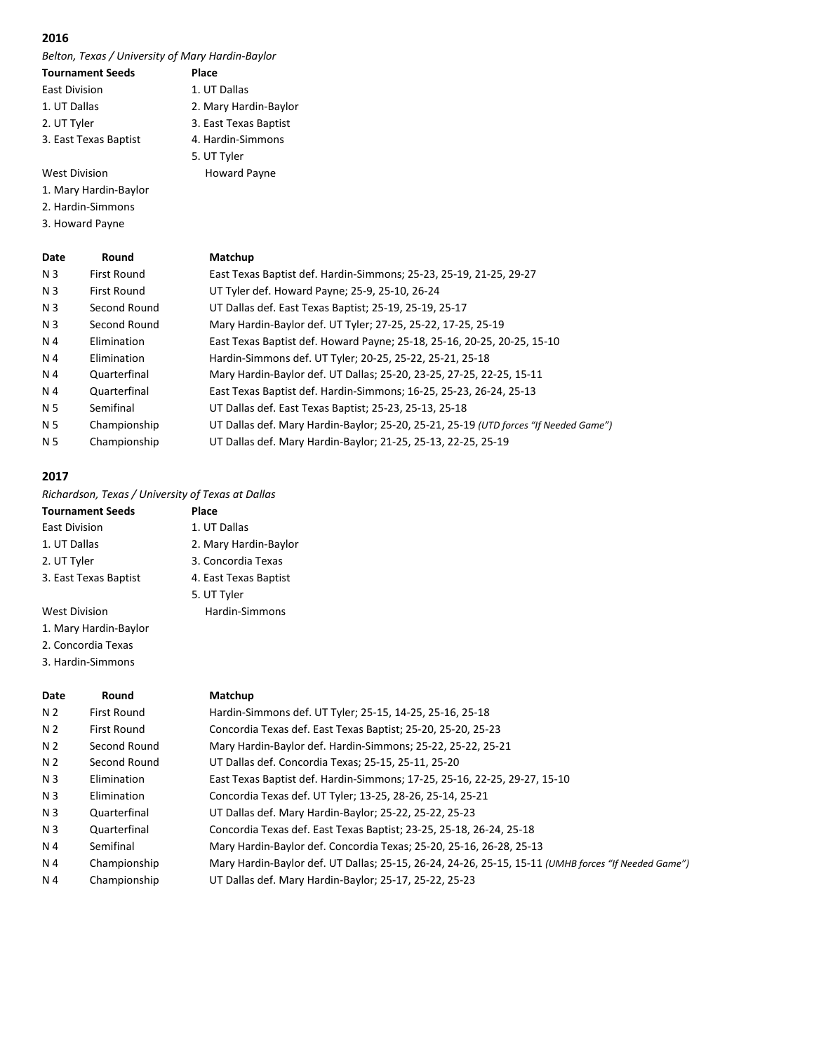*Belton, Texas / University of Mary Hardin-Baylor*

| <b>Tournament Seeds</b> | Place                 |
|-------------------------|-----------------------|
| East Division           | 1. UT Dallas          |
| 1. UT Dallas            | 2. Mary Hardin-Baylor |
| 2. UT Tyler             | 3. East Texas Baptist |
| 3. East Texas Baptist   | 4. Hardin-Simmons     |
|                         | 5. UT Tyler           |
| <b>West Division</b>    | Howard Payne          |

1. Mary Hardin-Baylor

2. Hardin-Simmons

3. Howard Payne

| Date           | Round              | Matchup                                                                              |
|----------------|--------------------|--------------------------------------------------------------------------------------|
| N <sub>3</sub> | <b>First Round</b> | East Texas Baptist def. Hardin-Simmons; 25-23, 25-19, 21-25, 29-27                   |
| N 3            | <b>First Round</b> | UT Tyler def. Howard Payne; 25-9, 25-10, 26-24                                       |
| N 3            | Second Round       | UT Dallas def. East Texas Baptist; 25-19, 25-19, 25-17                               |
| N 3            | Second Round       | Mary Hardin-Baylor def. UT Tyler; 27-25, 25-22, 17-25, 25-19                         |
| N 4            | Elimination        | East Texas Baptist def. Howard Payne; 25-18, 25-16, 20-25, 20-25, 15-10              |
| N 4            | Elimination        | Hardin-Simmons def. UT Tyler; 20-25, 25-22, 25-21, 25-18                             |
| N 4            | Quarterfinal       | Mary Hardin-Baylor def. UT Dallas; 25-20, 23-25, 27-25, 22-25, 15-11                 |
| N 4            | Quarterfinal       | East Texas Baptist def. Hardin-Simmons; 16-25, 25-23, 26-24, 25-13                   |
| N <sub>5</sub> | Semifinal          | UT Dallas def. East Texas Baptist; 25-23, 25-13, 25-18                               |
| N 5            | Championship       | UT Dallas def. Mary Hardin-Baylor; 25-20, 25-21, 25-19 (UTD forces "If Needed Game") |
| N 5            | Championship       | UT Dallas def. Mary Hardin-Baylor; 21-25, 25-13, 22-25, 25-19                        |
|                |                    |                                                                                      |

#### **2017**

*Richardson, Texas / University of Texas at Dallas*

| <b>Tournament Seeds</b> | Place                 |
|-------------------------|-----------------------|
| East Division           | 1. UT Dallas          |
| 1. UT Dallas            | 2. Mary Hardin-Baylor |
| 2. UT Tyler             | 3. Concordia Texas    |
| 3. East Texas Baptist   | 4. East Texas Baptist |
|                         | 5. UT Tyler           |
| <b>West Division</b>    | Hardin-Simmons        |
| 1. Mary Hardin-Baylor   |                       |
| 2. Concordia Texas      |                       |

3. Hardin-Simmons

| Date           | Round              | Matchup                                                                                             |
|----------------|--------------------|-----------------------------------------------------------------------------------------------------|
| N <sub>2</sub> | <b>First Round</b> | Hardin-Simmons def. UT Tyler; 25-15, 14-25, 25-16, 25-18                                            |
| N 2            | First Round        | Concordia Texas def. East Texas Baptist; 25-20, 25-20, 25-23                                        |
| N 2            | Second Round       | Mary Hardin-Baylor def. Hardin-Simmons; 25-22, 25-22, 25-21                                         |
| N <sub>2</sub> | Second Round       | UT Dallas def. Concordia Texas; 25-15, 25-11, 25-20                                                 |
| N <sub>3</sub> | Elimination        | East Texas Baptist def. Hardin-Simmons; 17-25, 25-16, 22-25, 29-27, 15-10                           |
| N <sub>3</sub> | Elimination        | Concordia Texas def. UT Tyler; 13-25, 28-26, 25-14, 25-21                                           |
| N <sub>3</sub> | Quarterfinal       | UT Dallas def. Mary Hardin-Baylor; 25-22, 25-22, 25-23                                              |
| N <sub>3</sub> | Quarterfinal       | Concordia Texas def. East Texas Baptist; 23-25, 25-18, 26-24, 25-18                                 |
| N 4            | Semifinal          | Mary Hardin-Baylor def. Concordia Texas; 25-20, 25-16, 26-28, 25-13                                 |
| N 4            | Championship       | Mary Hardin-Baylor def. UT Dallas; 25-15, 26-24, 24-26, 25-15, 15-11 (UMHB forces "If Needed Game") |
| N 4            | Championship       | UT Dallas def. Mary Hardin-Baylor; 25-17, 25-22, 25-23                                              |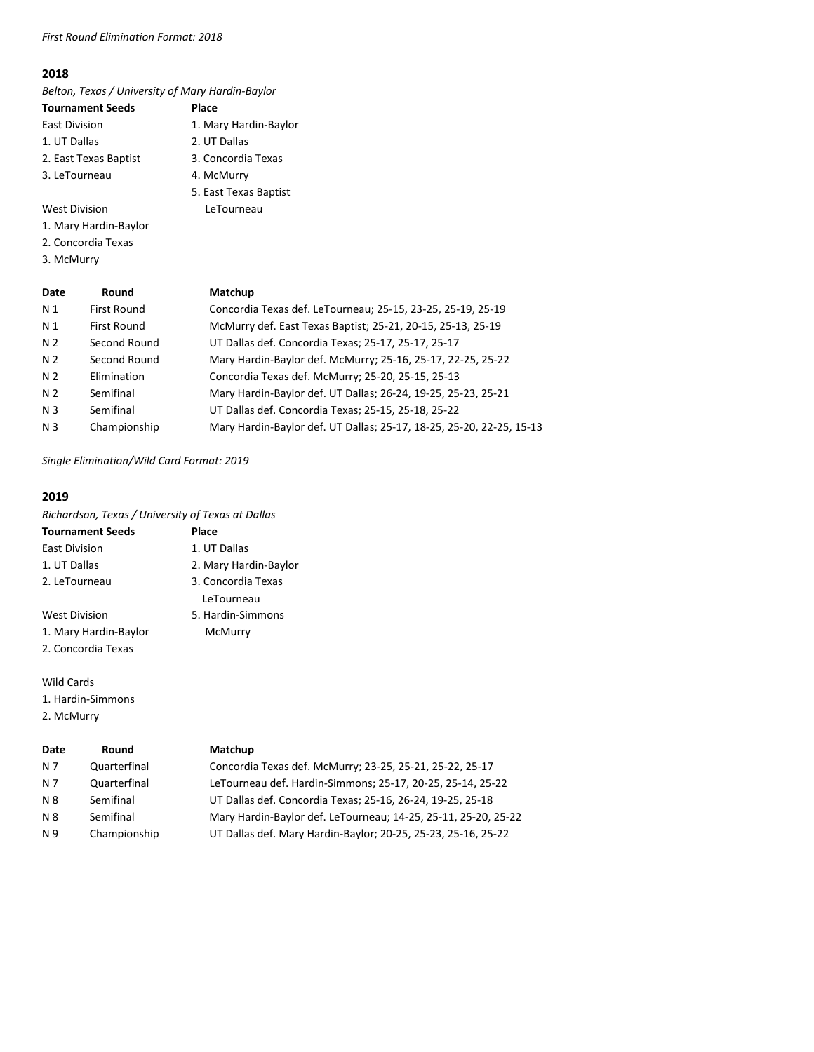# *First Round Elimination Format: 2018*

#### **2018**

*Belton, Texas / University of Mary Hardin-Baylor*

- **Tournament Seeds Place** East Division 1. Mary Hardin-Baylor 1. UT Dallas 2. UT Dallas 2. East Texas Baptist 3. Concordia Texas 3. LeTourneau 3aptist
- West Division **LeTourneau**
- 1. Mary Hardin-Baylor
- 2. Concordia Texas
- 3. McMurry

|  | 4. McMurry |                                                  |  |
|--|------------|--------------------------------------------------|--|
|  |            | 5. East Texas B                                  |  |
|  |            | $I \wedge T \wedge I \wedge I \wedge I \wedge I$ |  |

| Date           | Round              | Matchup                                                              |
|----------------|--------------------|----------------------------------------------------------------------|
| N <sub>1</sub> | <b>First Round</b> | Concordia Texas def. LeTourneau; 25-15, 23-25, 25-19, 25-19          |
| N <sub>1</sub> | <b>First Round</b> | McMurry def. East Texas Baptist; 25-21, 20-15, 25-13, 25-19          |
| N <sub>2</sub> | Second Round       | UT Dallas def. Concordia Texas; 25-17, 25-17, 25-17                  |
| N <sub>2</sub> | Second Round       | Mary Hardin-Baylor def. McMurry; 25-16, 25-17, 22-25, 25-22          |
| N <sub>2</sub> | Elimination        | Concordia Texas def. McMurry; 25-20, 25-15, 25-13                    |
| N <sub>2</sub> | Semifinal          | Mary Hardin-Baylor def. UT Dallas; 26-24, 19-25, 25-23, 25-21        |
| N <sub>3</sub> | Semifinal          | UT Dallas def. Concordia Texas; 25-15, 25-18, 25-22                  |
| N <sub>3</sub> | Championship       | Mary Hardin-Baylor def. UT Dallas; 25-17, 18-25, 25-20, 22-25, 15-13 |

*Single Elimination/Wild Card Format: 2019*

# **2019**

*Richardson, Texas / University of Texas at Dallas*

| <b>Tournament Seeds</b> | Place                 |  |
|-------------------------|-----------------------|--|
| East Division           | 1. UT Dallas          |  |
| 1. UT Dallas            | 2. Mary Hardin-Baylor |  |
| 2. LeTourneau           | 3. Concordia Texas    |  |
|                         | LeTourneau            |  |
| <b>West Division</b>    | 5. Hardin-Simmons     |  |
| 1. Mary Hardin-Baylor   | McMurry               |  |
| 2. Concordia Texas      |                       |  |

#### Wild Cards

1. Hardin-Simmons

2. McMurry

| Date      | Round        | Matchup                                                        |
|-----------|--------------|----------------------------------------------------------------|
| N 7       | Quarterfinal | Concordia Texas def. McMurry; 23-25, 25-21, 25-22, 25-17       |
| N 7       | Quarterfinal | LeTourneau def. Hardin-Simmons; 25-17, 20-25, 25-14, 25-22     |
| <b>N8</b> | Semifinal    | UT Dallas def. Concordia Texas; 25-16, 26-24, 19-25, 25-18     |
| N 8       | Semifinal    | Mary Hardin-Baylor def. LeTourneau; 14-25, 25-11, 25-20, 25-22 |
| N 9       | Championship | UT Dallas def. Mary Hardin-Baylor; 20-25, 25-23, 25-16, 25-22  |
|           |              |                                                                |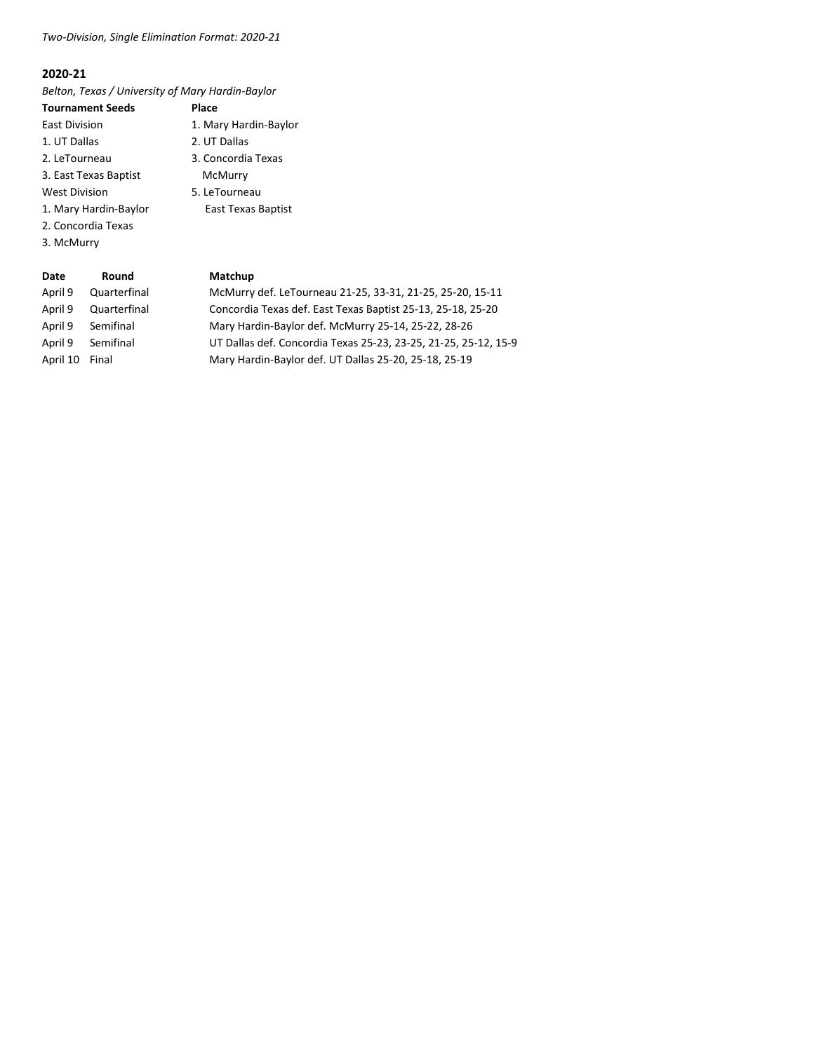# *Two-Division, Single Elimination Format: 2020-21*

# **2020-21**

*Belton, Texas / University of Mary Hardin-Baylor*

| <b>Tournament Seeds</b> | Place                 |
|-------------------------|-----------------------|
| East Division           | 1. Mary Hardin-Baylor |
| 1. UT Dallas            | 2. UT Dallas          |
| 2. LeTourneau           | 3. Concordia Texas    |
| 3. East Texas Baptist   | McMurry               |
| <b>West Division</b>    | 5. LeTourneau         |
| 1. Mary Hardin-Baylor   | East Texas Baptist    |
| 2. Concordia Texas      |                       |
| 3. McMurry              |                       |

| Date     | Round        | Matchup                                                         |
|----------|--------------|-----------------------------------------------------------------|
| April 9  | Quarterfinal | McMurry def. LeTourneau 21-25, 33-31, 21-25, 25-20, 15-11       |
| April 9  | Quarterfinal | Concordia Texas def. East Texas Baptist 25-13, 25-18, 25-20     |
| April 9  | Semifinal    | Mary Hardin-Baylor def. McMurry 25-14, 25-22, 28-26             |
| April 9  | Semifinal    | UT Dallas def. Concordia Texas 25-23, 23-25, 21-25, 25-12, 15-9 |
| April 10 | Final        | Mary Hardin-Baylor def. UT Dallas 25-20, 25-18, 25-19           |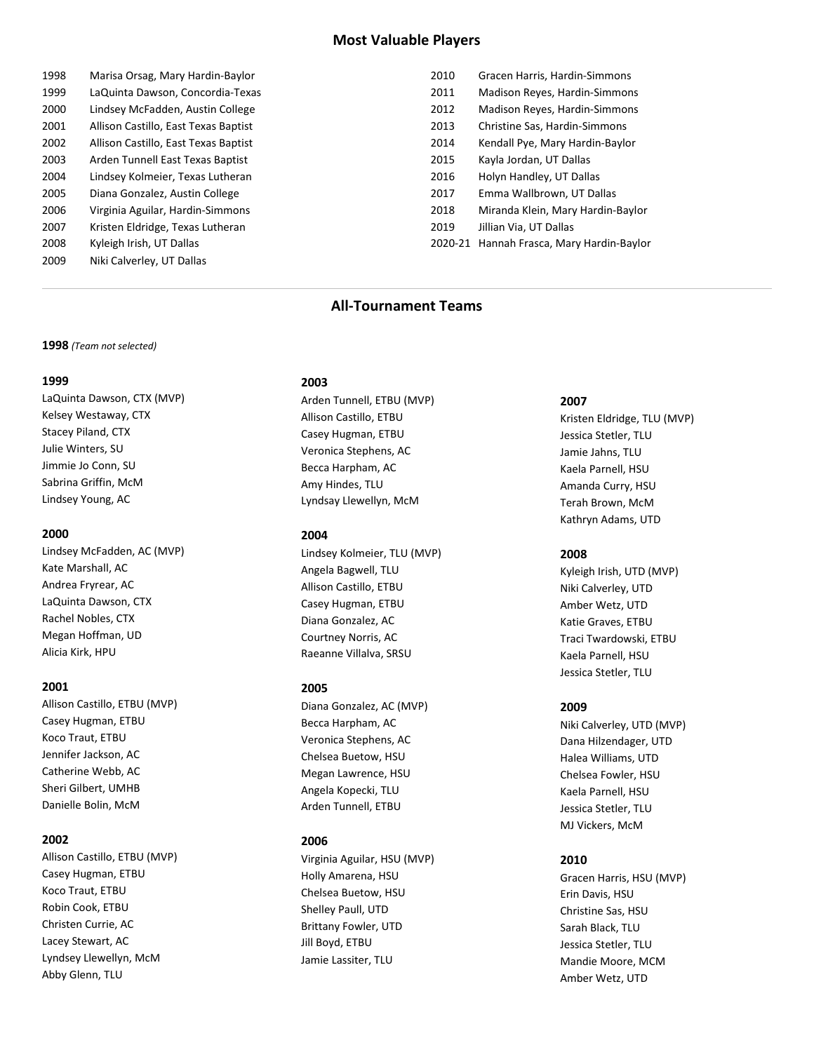# **Most Valuable Players**

| 1998 | Marisa Orsag, Mary Hardin-Baylor     |
|------|--------------------------------------|
| 1999 | LaQuinta Dawson, Concordia-Texas     |
| 2000 | Lindsev McFadden, Austin College     |
| 2001 | Allison Castillo, East Texas Baptist |
| 2002 | Allison Castillo, East Texas Baptist |
| 2003 | Arden Tunnell East Texas Baptist     |
| 2004 | Lindsey Kolmeier, Texas Lutheran     |
| 2005 | Diana Gonzalez, Austin College       |
| 2006 | Virginia Aguilar, Hardin-Simmons     |
| 2007 | Kristen Eldridge, Texas Lutheran     |
| 2008 | Kyleigh Irish, UT Dallas             |
| 2009 | Niki Calverley, UT Dallas            |

| 2010    | Gracen Harris, Hardin-Simmons     |
|---------|-----------------------------------|
| 2011    | Madison Reyes, Hardin-Simmons     |
| 2012    | Madison Reyes, Hardin-Simmons     |
| 2013    | Christine Sas, Hardin-Simmons     |
| 2014    | Kendall Pye, Mary Hardin-Baylor   |
| 2015    | Kayla Jordan, UT Dallas           |
| 2016    | Holyn Handley, UT Dallas          |
| 2017    | Emma Wallbrown, UT Dallas         |
| 2018    | Miranda Klein, Mary Hardin-Baylor |
| 2019    | Jillian Via, UT Dallas            |
| 2020-21 | Hannah Frasca, Mary Hardin-Baylor |

# **All-Tournament Teams**

#### **1998** *(Team not selected)*

#### **1999**

LaQuinta Dawson, CTX (MVP) Kelsey Westaway, CTX Stacey Piland, CTX Julie Winters, SU Jimmie Jo Conn, SU Sabrina Griffin, McM Lindsey Young, AC

#### **2000**

Lindsey McFadden, AC (MVP) Kate Marshall, AC Andrea Fryrear, AC LaQuinta Dawson, CTX Rachel Nobles, CTX Megan Hoffman, UD Alicia Kirk, HPU

#### **2001**

Allison Castillo, ETBU (MVP) Casey Hugman, ETBU Koco Traut, ETBU Jennifer Jackson, AC Catherine Webb, AC Sheri Gilbert, UMHB Danielle Bolin, McM

#### **2002**

Allison Castillo, ETBU (MVP) Casey Hugman, ETBU Koco Traut, ETBU Robin Cook, ETBU Christen Currie, AC Lacey Stewart, AC Lyndsey Llewellyn, McM Abby Glenn, TLU

#### **2003**

Arden Tunnell, ETBU (MVP) Allison Castillo, ETBU Casey Hugman, ETBU Veronica Stephens, AC Becca Harpham, AC Amy Hindes, TLU Lyndsay Llewellyn, McM

#### **2004**

Lindsey Kolmeier, TLU (MVP) Angela Bagwell, TLU Allison Castillo, ETBU Casey Hugman, ETBU Diana Gonzalez, AC Courtney Norris, AC Raeanne Villalva, SRSU

#### **2005**

Diana Gonzalez, AC (MVP) Becca Harpham, AC Veronica Stephens, AC Chelsea Buetow, HSU Megan Lawrence, HSU Angela Kopecki, TLU Arden Tunnell, ETBU

#### **2006**

Virginia Aguilar, HSU (MVP) Holly Amarena, HSU Chelsea Buetow, HSU Shelley Paull, UTD Brittany Fowler, UTD Jill Boyd, ETBU Jamie Lassiter, TLU

#### **2007**

Kristen Eldridge, TLU (MVP) Jessica Stetler, TLU Jamie Jahns, TLU Kaela Parnell, HSU Amanda Curry, HSU Terah Brown, McM Kathryn Adams, UTD

#### **2008**

Kyleigh Irish, UTD (MVP) Niki Calverley, UTD Amber Wetz, UTD Katie Graves, ETBU Traci Twardowski, ETBU Kaela Parnell, HSU Jessica Stetler, TLU

#### **2009**

Niki Calverley, UTD (MVP) Dana Hilzendager, UTD Halea Williams, UTD Chelsea Fowler, HSU Kaela Parnell, HSU Jessica Stetler, TLU MJ Vickers, McM

#### **2010**

Gracen Harris, HSU (MVP) Erin Davis, HSU Christine Sas, HSU Sarah Black, TLU Jessica Stetler, TLU Mandie Moore, MCM Amber Wetz, UTD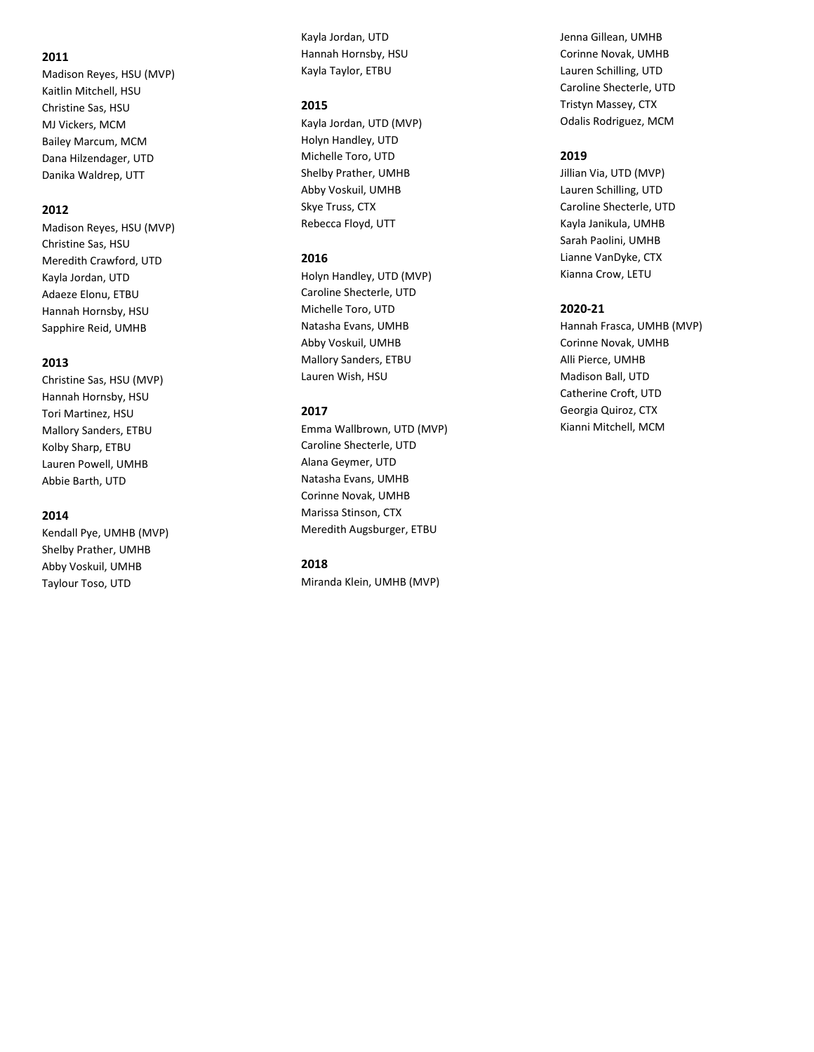Madison Reyes, HSU (MVP) Kaitlin Mitchell, HSU Christine Sas, HSU MJ Vickers, MCM Bailey Marcum, MCM Dana Hilzendager, UTD Danika Waldrep, U T T

#### **2012**

Madison Reyes, HSU (MVP) Christine Sas, HSU Meredith Crawford, UTD Kayla Jordan, UTD Adaeze Elonu, ETBU Hannah Hornsby, HSU Sapphire Reid, UMHB

#### **2013**

Christine Sas, HSU (MVP) Hannah Hornsby, HSU Tori Martinez, HSU Mallory Sanders, ETBU Kolby Sharp, ETBU Lauren Powell, UMHB Abbie Barth, UTD

#### **2014**

Kendall Pye, UMHB (MVP) Shelby Prather, UMHB Abby Voskuil, UMHB Taylour Toso, UTD

Kayla Jordan, UTD Hannah Hornsby, HSU Kayla Taylor, ETBU

#### **2015**

Kayla Jordan, UTD (MVP) Holyn Handley, UTD Michelle Toro, UTD Shelby Prather, UMHB Abby Voskuil, UMHB Skye Truss, CTX Rebecca Floyd, UTT

#### **2016**

Holyn Handley, UTD (MVP) Caroline Shecterle, UTD Michelle Toro, UTD Natasha Evans, UMHB Abby Voskuil, UMHB Mallory Sanders, ETBU Lauren Wish, HSU

#### **201 7**

Emma Wallbrown, UTD (MVP) Caroline Shecterle, UTD Alana Geymer, UTD Natasha Evans, UMHB Corinne Novak, UMHB Marissa Stinson, CTX Meredith Augsburger, ETBU

#### **201 8**

Miranda Klein, UMHB (MVP)

Jenna Gillean, UMHB Corinne Novak, UMHB Lauren Schilling, UTD Caroline Shecterle, UTD Tristyn Massey, CTX Odalis Rodriguez, MCM

#### **201 9**

Jillian Via, UTD (MVP) Lauren Schilling, UTD Caroline Shecterle, UTD Kayla Janikula, UMHB Sarah Paolini, UMHB Lianne VanDyke, CTX Kianna Crow, LETU

#### **2020 -21**

Hannah Frasca, UMHB (MVP) Corinne Novak, UMHB Alli Pierce, UMHB Madison Ball, UTD Catherine Croft, UTD Georgia Quiroz, CTX Kianni Mitchell, MCM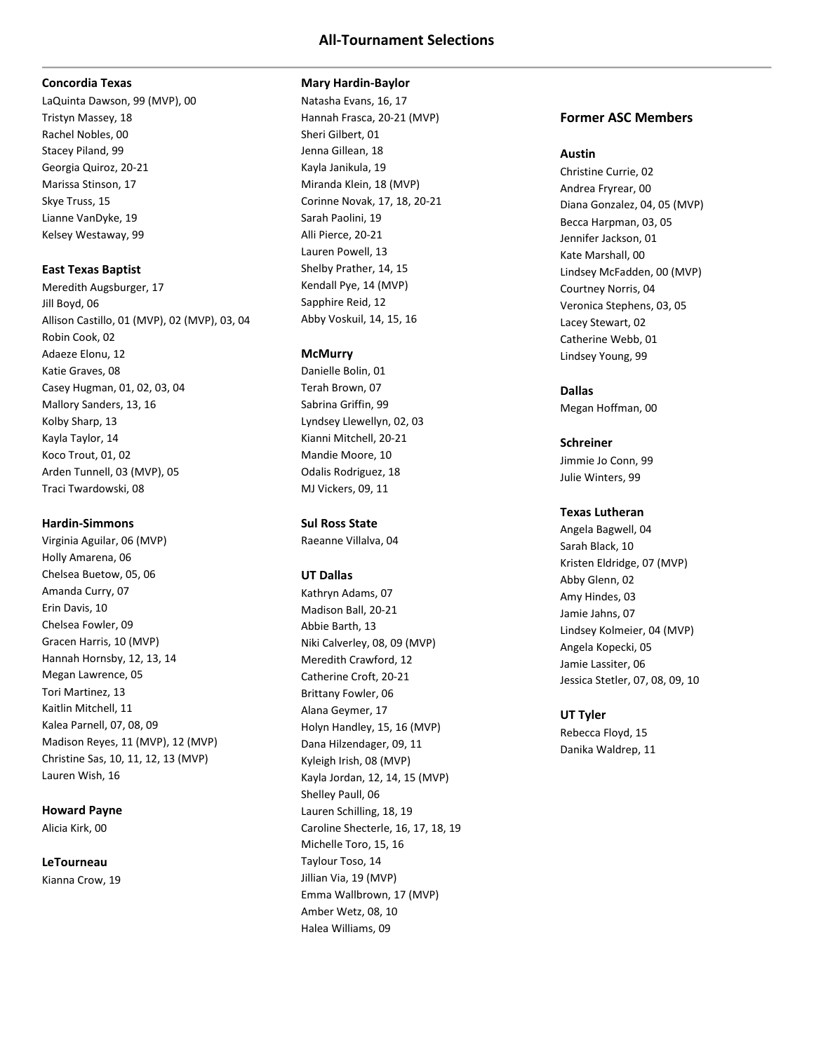#### **Concordia Texas**

LaQuinta Dawson, 99 (MVP), 00 Tristyn Massey, 18 Rachel Nobles, 00 Stacey Piland, 99 Georgia Quiroz, 20-21 Marissa Stinson, 17 Skye Truss, 15 Lianne VanDyke, 19 Kelsey Westaway, 99

# **East Texas Baptist**

Meredith Augsburger, 17 Jill Boyd, 06 Allison Castillo, 01 (MVP), 02 (MVP), 03, 04 Robin Cook, 02 Adaeze Elonu, 12 Katie Graves, 08 Casey Hugman, 01, 02, 03, 04 Mallory Sanders, 13, 16 Kolby Sharp, 13 Kayla Taylor, 14 Koco Trout, 01, 02 Arden Tunnell, 03 (MVP), 05 Traci Twardowski, 08

# **Hardin-Simmons**

Virginia Aguilar, 06 (MVP) Holly Amarena, 06 Chelsea Buetow, 05, 06 Amanda Curry, 07 Erin Davis, 10 Chelsea Fowler, 09 Gracen Harris, 10 (MVP) Hannah Hornsby, 12, 13, 14 Megan Lawrence, 05 Tori Martinez, 13 Kaitlin Mitchell, 11 Kalea Parnell, 07, 08, 09 Madison Reyes, 11 (MVP), 12 (MVP) Christine Sas, 10, 11, 12, 13 (MVP) Lauren Wish, 16

# **Howard Payne**

Alicia Kirk, 00

#### **LeTourneau**

Kianna Crow, 19

#### **Mary Hardin-Baylor**

Natasha Evans, 16, 17 Hannah Frasca, 20-21 (MVP) Sheri Gilbert, 01 Jenna Gillean, 18 Kayla Janikula, 19 Miranda Klein, 18 (MVP) Corinne Novak, 17, 18, 20-21 Sarah Paolini, 19 Alli Pierce, 20-21 Lauren Powell, 13 Shelby Prather, 14, 15 Kendall Pye, 14 (MVP) Sapphire Reid, 12 Abby Voskuil, 14, 15, 16

# **McMurry**

Danielle Bolin, 01 Terah Brown, 07 Sabrina Griffin, 99 Lyndsey Llewellyn, 02, 03 Kianni Mitchell, 20-21 Mandie Moore, 10 Odalis Rodriguez, 18 MJ Vickers, 09, 11

# **Sul Ross State**

Raeanne Villalva, 04

# **UT Dallas**

Kathryn Adams, 07 Madison Ball, 20-21 Abbie Barth, 13 Niki Calverley, 08, 09 (MVP) Meredith Crawford, 12 Catherine Croft, 20-21 Brittany Fowler, 06 Alana Geymer, 17 Holyn Handley, 15, 16 (MVP) Dana Hilzendager, 09, 11 Kyleigh Irish, 08 (MVP) Kayla Jordan, 12, 14, 15 (MVP) Shelley Paull, 06 Lauren Schilling, 18, 19 Caroline Shecterle, 16, 17, 18, 19 Michelle Toro, 15, 16 Taylour Toso, 14 Jillian Via, 19 (MVP) Emma Wallbrown, 17 (MVP) Amber Wetz, 08, 10 Halea Williams, 09

# **Former ASC Members**

#### **Austin**

Christine Currie, 02 Andrea Fryrear, 00 Diana Gonzalez, 04, 05 (MVP) Becca Harpman, 03, 05 Jennifer Jackson, 01 Kate Marshall, 00 Lindsey McFadden, 00 (MVP) Courtney Norris, 04 Veronica Stephens, 03, 05 Lacey Stewart, 02 Catherine Webb, 01 Lindsey Young, 99

# **Dallas**

Megan Hoffman, 00

# **Schreiner**

Jimmie Jo Conn, 99 Julie Winters, 99

# **Texas Lutheran**

Angela Bagwell, 04 Sarah Black, 10 Kristen Eldridge, 07 (MVP) Abby Glenn, 02 Amy Hindes, 03 Jamie Jahns, 07 Lindsey Kolmeier, 04 (MVP) Angela Kopecki, 05 Jamie Lassiter, 06 Jessica Stetler, 07, 08, 09, 10

# **UT Tyler**

Rebecca Floyd, 15 Danika Waldrep, 11